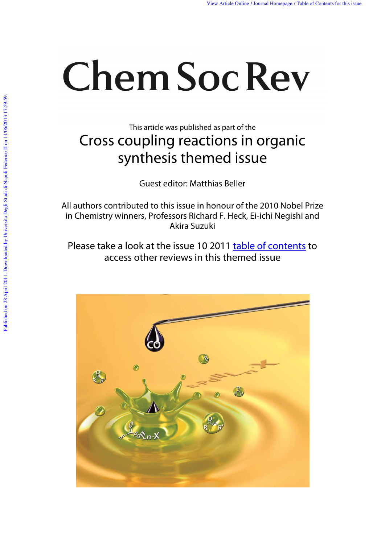# **Chem Soc Rev**

This article was published as part of the

## Cross coupling reactions in organic synthesis themed issue

Guest editor: Matthias Beller

All authors contributed to this issue in honour of the 2010 Nobel Prize in Chemistry winners, Professors Richard F. Heck, Ei-ichi Negishi and Akira Suzuki

Please take a look at the issue 10 2011 table of contents to access other reviews in this themed issue

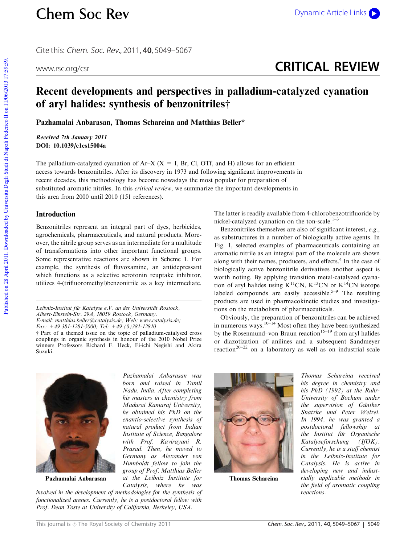## Chem Soc Rev Dynamic Article Links

Cite this: Chem. Soc. Rev., 2011, **40**, 5049–5067

## www.rsc.org/csr **CRITICAL REVIEW**

### Recent developments and perspectives in palladium-catalyzed cyanation of aryl halides: synthesis of benzonitriles $\dagger$

Pazhamalai Anbarasan, Thomas Schareina and Matthias Beller\*

Received 7th January 2011 DOI: 10.1039/c1cs15004a

The palladium-catalyzed cyanation of  $Ar-X$  ( $X = I$ , Br, Cl, OTf, and H) allows for an efficient access towards benzonitriles. After its discovery in 1973 and following significant improvements in recent decades, this methodology has become nowadays the most popular for preparation of substituted aromatic nitriles. In this *critical review*, we summarize the important developments in this area from 2000 until 2010 (151 references).

#### Introduction

Benzonitriles represent an integral part of dyes, herbicides, agrochemicals, pharmaceuticals, and natural products. Moreover, the nitrile group serves as an intermediate for a multitude of transformations into other important functional groups. Some representative reactions are shown in Scheme 1. For example, the synthesis of fluvoxamine, an antidepressant which functions as a selective serotonin reuptake inhibitor, utilizes 4-(trifluoromethyl)benzonitrile as a key intermediate.

Leibniz-Institut für Katalyse e.V. an der Universität Rostock, Albert-Einstein-Str. 29A, 18059 Rostock, Germany. E-mail: matthias.beller@catalysis.de; Web: www.catalysis.de; Fax: +49 381-1281-5000; Tel: +49 (0)381-12810 † Part of a themed issue on the topic of palladium-catalysed cross couplings in organic synthesis in honour of the 2010 Nobel Prize winners Professors Richard F. Heck, Ei-ichi Negishi and Akira Suzuki.

The latter is readily available from 4-chlorobenzotrifluoride by nickel-catalyzed cyanation on the ton-scale. $1-3$ 

Benzonitriles themselves are also of significant interest, e.g., as substructures in a number of biologically active agents. In Fig. 1, selected examples of pharmaceuticals containing an aromatic nitrile as an integral part of the molecule are shown along with their names, producers, and effects.<sup>4</sup> In the case of biologically active benzonitrile derivatives another aspect is worth noting. By applying transition metal-catalyzed cyanation of aryl halides using  $K^{11}CN$ ,  $K^{13}CN$  or  $K^{14}CN$  isotope labeled compounds are easily accessible.<sup>5–9</sup> The resulting products are used in pharmacokinetic studies and investigations on the metabolism of pharmaceuticals.

Obviously, the preparation of benzonitriles can be achieved in numerous ways.<sup>10–14</sup> Most often they have been synthesized by the Rosenmund–von Braun reaction<sup>15–19</sup> from aryl halides or diazotization of anilines and a subsequent Sandmeyer reaction<sup>20–22</sup> on a laboratory as well as on industrial scale



Pazhamalai Anbarasan

Pazhamalai Anbarasan was born and raised in Tamil Nadu, India. After completing his masters in chemistry from Madurai Kamaraj University, he obtained his PhD on the enantio-selective synthesis of natural product from Indian Institute of Science, Bangalore with Prof. Kavirayani R. Prasad. Then, he moved to Germany as Alexander von Humboldt fellow to join the group of Prof. Matthias Beller at the Leibniz Institute for Catalysis, where he was

involved in the development of methodologies for the synthesis of functionalized arenes. Currently, he is a postdoctoral fellow with Prof. Dean Toste at University of California, Berkeley, USA.



Thomas Schareina

Thomas Schareina received his degree in chemistry and his PhD (1992) at the Ruhr-University of Bochum under the supervision of Günther Snatzke und Peter Welzel. In 1994, he was granted a postdoctoral fellowship at the Institut für Organische Katalyseforschung (IfOK). Currently, he is a staff chemist in the Leibniz-Institute for Catalysis. He is active in developing new and industrially applicable methods in the field of aromatic coupling reactions.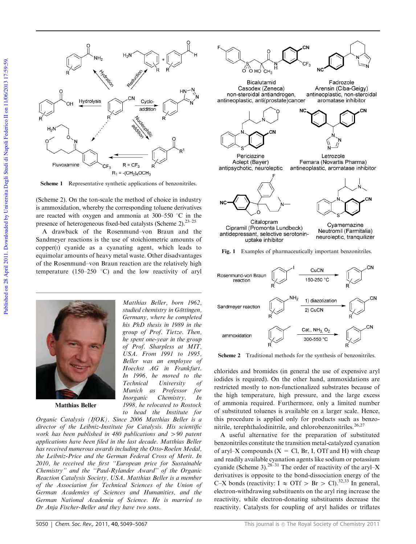

Scheme 1 Representative synthetic applications of benzonitriles.

(Scheme 2). On the ton-scale the method of choice in industry is ammoxidation, whereby the corresponding toluene derivatives are reacted with oxygen and ammonia at  $300-550$  °C in the presence of heterogeneous fixed-bed catalysts (Scheme 2).<sup>23–25</sup>

A drawback of the Rosenmund–von Braun and the Sandmeyer reactions is the use of stoichiometric amounts of copper(I) cyanide as a cyanating agent, which leads to equimolar amounts of heavy metal waste. Other disadvantages of the Rosenmund–von Braun reaction are the relatively high temperature (150–250  $^{\circ}$ C) and the low reactivity of aryl

> Matthias Beller, born 1962, studied chemistry in Göttingen. Germany, where he completed his PhD thesis in 1989 in the group of Prof. Tietze. Then, he spent one-year in the group of Prof. Sharpless at MIT, USA. From 1991 to 1995, Beller was an employee of Hoechst AG in Frankfurt. In 1996, he moved to the Technical University of Munich as Professor for Inorganic Chemistry. In 1998, he relocated to Rostock to head the Institute for



Matthias Beller

Organic Catalysis (IfOK). Since 2006 Matthias Beller is a director of the Leibniz-Institute for Catalysis. His scientific work has been published in 480 publications and  $> 90$  patent applications have been filed in the last decade. Matthias Beller has received numerous awards including the Otto-Roelen Medal, the Leibniz-Price and the German Federal Cross of Merit. In 2010, he received the first ''European price for Sustainable Chemistry'' and the ''Paul-Rylander Award'' of the Organic Reaction Catalysis Society, USA. Matthias Beller is a member of the Association for Technical Sciences of the Union of German Academies of Sciences and Humanities, and the German National Academia of Science. He is married to Dr Anja Fischer-Beller and they have two sons.



Fig. 1 Examples of pharmaceutically important benzonitriles.



Scheme 2 Traditional methods for the synthesis of benzonitriles.

chlorides and bromides (in general the use of expensive aryl iodides is required). On the other hand, ammoxidations are restricted mostly to non-functionalized substrates because of the high temperature, high pressure, and the large excess of ammonia required. Furthermore, only a limited number of substituted toluenes is available on a larger scale. Hence, this procedure is applied only for products such as benzonitrile, terephthalodinitrile, and chlorobenzonitriles.<sup>26,27</sup>

A useful alternative for the preparation of substituted benzonitriles constitute the transition metal-catalyzed cyanation of aryl–X compounds  $(X = Cl, Br, I, OTf and H)$  with cheap and readily available cyanation agents like sodium or potassium cyanide (Scheme 3).<sup>28–31</sup> The order of reactivity of the aryl–X derivatives is opposite to the bond-dissociation energy of the C–X bonds (reactivity:  $I \approx OTF > Br > Cl$ ).<sup>32,33</sup> In general, electron-withdrawing substituents on the aryl ring increase the reactivity, while electron-donating substituents decrease the reactivity. Catalysts for coupling of aryl halides or triflates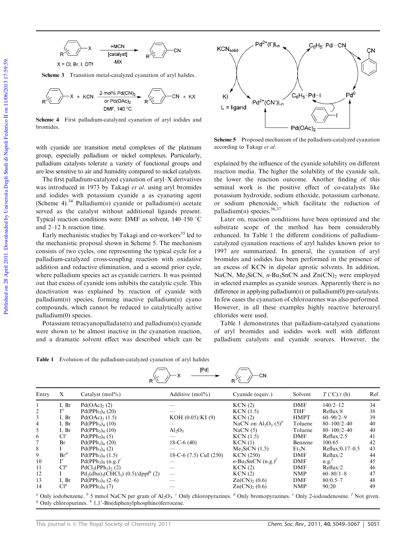

Scheme 3 Transition metal-catalyzed cyanation of aryl halides.



Scheme 4 First palladium-catalyzed cyanation of aryl iodides and bromides.

with cyanide are transition metal complexes of the platinum group, especially palladium or nickel complexes. Particularly, palladium catalysts tolerate a variety of functional groups and are less sensitive to air and humidity compared to nickel catalysts.

The first palladium-catalyzed cyanation of aryl–X derivatives was introduced in 1973 by Takagi et al. using aryl bromides and iodides with potassium cyanide a as cyanating agent (Scheme 4).<sup>34</sup> Palladium(II) cyanide or palladium(II) acetate served as the catalyst without additional ligands present. Typical reaction conditions were: DMF as solvent,  $140-150$  °C and 2–12 h reaction time.

Early mechanistic studies by Takagi and co-workers<sup>35</sup> led to the mechanistic proposal shown in Scheme 5. The mechanism consists of two cycles, one representing the typical cycle for a palladium-catalyzed cross-coupling reaction with oxidative addition and reductive elimination, and a second prior cycle, where palladium species act as cyanide carriers. It was pointed out that excess of cyanide ions inhibits the catalytic cycle. This deactivation was explained by reaction of cyanide with palladium $(II)$  species, forming inactive palladium $(II)$  cyano compounds, which cannot be reduced to catalytically active palladium(0) species.

Potassium tetracyanopalladate $(II)$  and palladium $(II)$  cyanide were shown to be almost inactive in the cyanation reaction, and a dramatic solvent effect was described which can be



Scheme 5 Proposed mechanism of the palladium-catalyzed cyanation according to Takagi et al.

explained by the influence of the cyanide solubility on different reaction media. The higher the solubility of the cyanide salt, the lower the reaction outcome. Another finding of this seminal work is the positive effect of co-catalysts like potassium hydroxide, sodium ethoxide, potassium carbonate, or sodium phenoxide, which facilitate the reduction of palladium( $\text{II}$ ) species.<sup>36,37</sup>

Later on, reaction conditions have been optimized and the substrate scope of the method has been considerably enhanced. In Table 1 the different conditions of palladiumcatalyzed cyanation reactions of aryl halides known prior to 1997 are summarized. In general, the cyanation of aryl bromides and iodides has been performed in the presence of an excess of KCN in dipolar aprotic solvents. In addition, NaCN, Me<sub>3</sub>SiCN, *n*-Bu<sub>3</sub>SnCN and  $Zn(CN)$ <sub>2</sub> were employed in selected examples as cyanide sources. Apparently there is no difference in applying palladium $(I)$  or palladium $(0)$  pre-catalysts. In few cases the cyanation of chloroarenes was also performed. However, in all these examples highly reactive heteroaryl chlorides were used.

Table 1 demonstrates that palladium-catalyzed cyanations of aryl bromides and iodides work well with different palladium catalysts and cyanide sources. However, the

Table 1 Evolution of the palladium-catalyzed cyanation of aryl halides

| Entry          | X              | Catalyst $(mol\%)$                                     | Additive $(mol\%)$     | Cyanide (equiv.)                                 | Solvent           | $T({}^{\circ}C)/t(h)$ | Ref. |
|----------------|----------------|--------------------------------------------------------|------------------------|--------------------------------------------------|-------------------|-----------------------|------|
|                | I. Br          | $Pd(OAc)$ <sub>2</sub> (2)                             |                        | KCN(2)                                           | DMF               | $140/2 - 12$          | 34   |
| $\overline{2}$ | $\mathbf{I}^a$ | $Pd(PPh3)4$ (20)                                       |                        | $KCN$ (1.5)                                      | <b>THF</b>        | Reflux/8              | 38   |
| 3              | I, Br          | $Pd(OAc)$ <sub>2</sub> (1.5)                           | KOH $(0.05)/KI(9)$     | KCN(2)                                           | <b>HMPT</b>       | $60 - 90/2 - 9$       | 39   |
| 4              | I, Br          | $Pd(PPh3)4$ (10)                                       |                        | NaCN on $\text{Al}_2\text{O}_3$ (5) <sup>b</sup> | Toluene           | $80 - 100/2 - 40$     | 40   |
| 5              | I. Br          | $Pd(PPh3)4$ (10)                                       | $Al_2O_3$              | NaCN(5)                                          | Toluene           | $80 - 100/2 - 40$     | 40   |
| 6              | $Cl^c$         | $Pd(PPh3)4$ (5)                                        |                        | $KCN$ (1.5)                                      | DMF               | Reflux/2.5            | 41   |
|                | Br             | $Pd(PPh3)4$ (20)                                       | $18-C-6(40)$           | KCN(1)                                           | Benzene           | 100/65                | 42   |
| 8              |                | $Pd(PPh3)4$ (2)                                        |                        | $Me3SiCN$ (1.5)                                  | Et <sub>3</sub> N | Reflux/0.17-0.5       | 43   |
| 9              | $Br^d$         | $Pd(PPh3)4$ (1.5)                                      | 18-C-6 (7.5) CuI (250) | <b>KCN</b> (250)                                 | DMF               | Reflux/2              | 44   |
| 10             |                | Pd(PPh <sub>3</sub> ) <sub>4</sub> (n.g.) <sup>e</sup> |                        | $n-\text{Bu}_3\text{SnCN (n.g.)}$                | DMF               | n.g.                  | 45   |
| 11             | $Cl^g$         | $PdCl2(PPh3)2(2)$                                      |                        | KCN(2)                                           | DMF               | Reflux/2              | 46   |
| 12             |                | $Pd_2(dba)_{3}(CHCl_3)$ (0.5)/dppf <sup>h</sup> (2)    |                        | KCN(2)                                           | <b>NMP</b>        | $60 - 80/1 - 8$       | 47   |
| 13             | I, Br          | $Pd(PPh3)4$ (2–6)                                      |                        | $Zn(CN)_2(0.6)$                                  | DMF               | $80/0.5 - 7$          | 48   |
| 14             | $Cl^g$         | $Pd(PPh3)4$ (7)                                        |                        | $Zn(CN)_2(0.6)$                                  | <b>NMP</b>        | 90/20                 | 49   |

**IP**d1

 $\sqrt{2}$ 

<sup>a</sup> Only iodobenzene. <sup>b</sup> 5 mmol NaCN per gram of Al<sub>2</sub>O<sub>3</sub>. <sup>c</sup> Only chloropyrazines. <sup>d</sup> Only bromopyrazines. <sup>e</sup> Only 2-iodoadenosine. <sup>f</sup> Not given.  $^g$  Only chloropurines.  $^h$  1,1'-Bis(diphenylphosphino)ferrocene.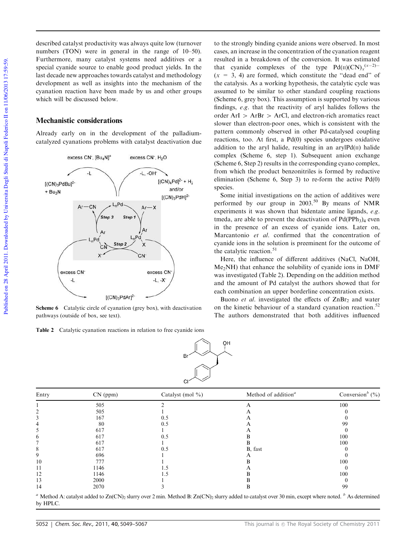described catalyst productivity was always quite low (turnover numbers (TON) were in general in the range of 10–50). Furthermore, many catalyst systems need additives or a special cyanide source to enable good product yields. In the last decade new approaches towards catalyst and methodology development as well as insights into the mechanism of the cyanation reaction have been made by us and other groups which will be discussed below.

#### Mechanistic considerations

Already early on in the development of the palladiumcatalyzed cyanations problems with catalyst deactivation due



Scheme 6 Catalytic circle of cyanation (grey box), with deactivation pathways (outside of box, see text).

Table 2 Catalytic cyanation reactions in relation to free cyanide ions

to the strongly binding cyanide anions were observed. In most cases, an increase in the concentration of the cyanation reagent resulted in a breakdown of the conversion. It was estimated that cyanide complexes of the type  $Pd(I)(CN)_x^{(x-2)-}$  $(x = 3, 4)$  are formed, which constitute the "dead end" of the catalysis. As a working hypothesis, the catalytic cycle was assumed to be similar to other standard coupling reactions (Scheme 6, grey box). This assumption is supported by various findings, e.g. that the reactivity of aryl halides follows the order  $ArI > ArBr > ArCl$ , and electron-rich aromatics react slower than electron-poor ones, which is consistent with the pattern commonly observed in other Pd-catalysed coupling reactions, too. At first, a Pd(0) species undergoes oxidative addition to the aryl halide, resulting in an aryl $Pd(\Pi)$  halide complex (Scheme 6, step 1). Subsequent anion exchange (Scheme 6, Step 2) results in the corresponding cyano complex, from which the product benzonitriles is formed by reductive elimination (Scheme 6, Step 3) to re-form the active Pd(0) species.

Some initial investigations on the action of additives were performed by our group in  $2003$ .<sup>50</sup> By means of NMR experiments it was shown that bidentate amine ligands, e.g. tmeda, are able to prevent the deactivation of  $Pd(PPh<sub>3</sub>)<sub>4</sub>$  even in the presence of an excess of cyanide ions. Later on, Marcantonio et al. confirmed that the concentration of cyanide ions in the solution is preeminent for the outcome of the catalytic reaction.<sup>51</sup>

Here, the influence of different additives (NaCl, NaOH, Me2NH) that enhance the solubility of cyanide ions in DMF was investigated (Table 2). Depending on the addition method and the amount of Pd catalyst the authors showed that for each combination an upper borderline concentration exists.

Buono et al. investigated the effects of  $\text{ZnBr}_2$  and water on the kinetic behaviour of a standard cyanation reaction.<sup>52</sup> The authors demonstrated that both additives influenced



| Entry        | $CN$ (ppm) | Catalyst (mol $\%$ ) | Method of addition <sup><math>a</math></sup> | Conversion <sup>b</sup> $(\%$ ) |
|--------------|------------|----------------------|----------------------------------------------|---------------------------------|
|              | 505        |                      |                                              | 100                             |
|              | 505        |                      |                                              |                                 |
|              | 167        | 0.5                  |                                              |                                 |
|              | 80         | 0.5                  |                                              | 99                              |
|              | 617        |                      |                                              |                                 |
| <sub>(</sub> | 617        | 0.5                  |                                              | 100                             |
|              | 617        |                      |                                              | 100                             |
| х            | 617        | 0.5                  | B, fast                                      |                                 |
| 9            | 696        |                      |                                              |                                 |
| 10           | 777        |                      |                                              | 100                             |
| 11           | 1146       |                      |                                              |                                 |
| 12           | 1146       |                      |                                              | 100                             |
| 13           | 2000       |                      |                                              |                                 |
| 14           | 2070       |                      |                                              | 99                              |

<sup>a</sup> Method A: catalyst added to Zn(CN)<sub>2</sub> slurry over 2 min. Method B: Zn(CN)<sub>2</sub> slurry added to catalyst over 30 min, except where noted.  $\frac{b}{ }$  As determined by HPLC.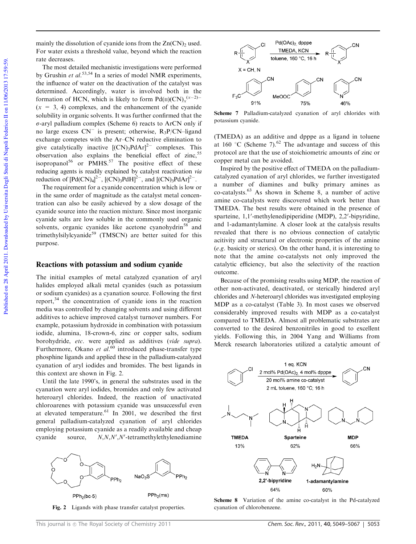mainly the dissolution of cyanide ions from the  $Zn(CN)$  used. For water exists a threshold value, beyond which the reaction rate decreases.

The most detailed mechanistic investigations were performed by Grushin et al.<sup>53,54</sup> In a series of model NMR experiments, the influence of water on the deactivation of the catalyst was determined. Accordingly, water is involved both in the formation of HCN, which is likely to form  $Pd(II)(CN)<sub>x</sub><sup>(x-2)-</sup>$  $(x = 3, 4)$  complexes, and the enhancement of the cyanide solubility in organic solvents. It was further confirmed that the  $\sigma$ -aryl palladium complex (Scheme 6) reacts to ArCN only if no large excess  $CN^{-}$  is present; otherwise,  $R_3P/CN$ -ligand exchange competes with the Ar–CN reductive elimination to give catalytically inactive  $[(CN)_3PdAr]^{2-}$  complexes. This observation also explains the beneficial effect of zinc,  $55$ isopropanol<sup>56</sup> or PMHS.<sup>57</sup> The positive effect of these reducing agents is readily explained by catalyst reactivation via reduction of  $[\text{Pd(CN)<sub>4</sub>]<sup>2–</sup>, [(CN)<sub>3</sub>PdH]<sup>2–</sup>, and [(CN)<sub>3</sub>PdAr]<sup>2–</sup>.$ 

The requirement for a cyanide concentration which is low or in the same order of magnitude as the catalyst metal concentration can also be easily achieved by a slow dosage of the cyanide source into the reaction mixture. Since most inorganic cyanide salts are low soluble in the commonly used organic solvents, organic cyanides like acetone cyanohydrin<sup>58</sup> and trimethylsilylcyanide<sup>59</sup> (TMSCN) are better suited for this purpose.

#### Reactions with potassium and sodium cyanide

The initial examples of metal catalyzed cyanation of aryl halides employed alkali metal cyanides (such as potassium or sodium cyanides) as a cyanation source. Following the first report, $34$  the concentration of cyanide ions in the reaction media was controlled by changing solvents and using different additives to achieve improved catalyst turnover numbers. For example, potassium hydroxide in combination with potassium iodide, alumina, 18-crown-6, zinc or copper salts, sodium borohydride, etc. were applied as additives (vide supra). Furthermore, Okano et  $al$ .<sup>60</sup> introduced phase-transfer type phosphine ligands and applied these in the palladium-catalyzed cyanation of aryl iodides and bromides. The best ligands in this context are shown in Fig. 2.

Until the late 1990's, in general the substrates used in the cyanation were aryl iodides, bromides and only few activated heteroaryl chlorides. Indeed, the reaction of unactivated chloroarenes with potassium cyanide was unsuccessful even at elevated temperature.<sup>61</sup> In 2001, we described the first general palladium-catalyzed cyanation of aryl chlorides employing potassium cyanide as a readily available and cheap cyanide source,  $N, N, N', N'$ -tetramethylethylenediamine



Fig. 2 Ligands with phase transfer catalyst properties.



Scheme 7 Palladium-catalyzed cyanation of aryl chlorides with potassium cyanide.

(TMEDA) as an additive and dpppe as a ligand in toluene at 160  $\degree$ C (Scheme 7).<sup>62</sup> The advantage and success of this protocol are that the use of stoichiometric amounts of zinc or copper metal can be avoided.

Inspired by the positive effect of TMEDA on the palladiumcatalyzed cyanation of aryl chlorides, we further investigated a number of diamines and bulky primary amines as co-catalysts.<sup>63</sup> As shown in Scheme 8, a number of active amine co-catalysts were discovered which work better than TMEDA. The best results were obtained in the presence of sparteine, 1,1'-methylenedipiperidine (MDP), 2,2'-bipyridine, and 1-adamantylamine. A closer look at the catalysis results revealed that there is no obvious connection of catalytic acitivity and structural or electronic properties of the amine (e.g. basicity or sterics). On the other hand, it is interesting to note that the amine co-catalysts not only improved the catalytic efficiency, but also the selectivity of the reaction outcome.

Because of the promising results using MDP, the reaction of other non-activated, deactivated, or sterically hindered aryl chlorides and N-heteroaryl chlorides was investigated employing MDP as a co-catalyst (Table 3). In most cases we observed considerably improved results with MDP as a co-catalyst compared to TMEDA. Almost all problematic substrates are converted to the desired benzonitriles in good to excellent yields. Following this, in 2004 Yang and Williams from Merck research laboratories utilized a catalytic amount of



Scheme 8 Variation of the amine co-catalyst in the Pd-catalyzed cyanation of chlorobenzene.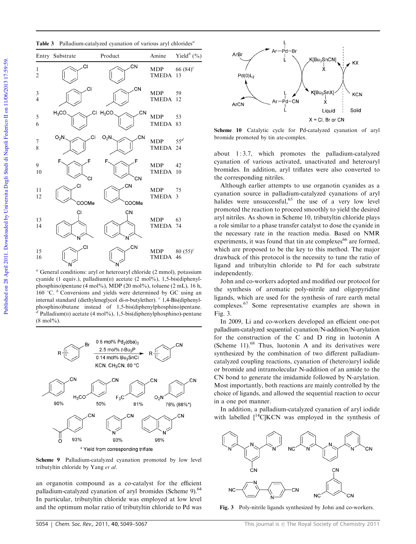Table 3 Palladium-catalyzed cyanation of various aryl chlorides<sup>6</sup>



 $a$  General conditions: aryl or heteroaryl chloride (2 mmol), potassium cyanide (1 equiv.), palladium $(n)$  acetate  $(2 \text{ mol\%})$ , 1,5-bis(diphenylphosphino)pentane (4 mol%), MDP (20 mol%), toluene (2 mL), 16 h, 160  $\degree$ C.  $\degree$  Conversions and yields were determined by GC using an internal standard (diethyleneglycol di-n-butylether). <sup>c</sup> 1,4-Bis(diphenylphosphino)butane instead of 1,5-bis(diphenylphosphino)pentane.  $^d$  Palladium(II) acetate (4 mol%), 1,5-bis(diphenylphosphino)-pentane  $(8 \text{ mol\%})$ .



Scheme 9 Palladium-catalyzed cyanation promoted by low level tributyltin chloride by Yang et al.

an organotin compound as a co-catalyst for the efficient palladium-catalyzed cyanation of aryl bromides (Scheme 9).<sup>64</sup> In particular, tributyltin chloride was employed at low level and the optimum molar ratio of tributyltin chloride to Pd was



Scheme 10 Catalytic cycle for Pd-catalyzed cyanation of aryl bromide promoted by tin ate-complex.

about 1 : 3.7, which promotes the palladium-catalyzed cyanation of various activated, unactivated and heteroaryl bromides. In addition, aryl triflates were also converted to the corresponding nitriles.

Although earlier attempts to use organotin cyanides as a cyanation source in palladium-catalyzed cyanations of aryl halides were unsuccessful,  $65$  the use of a very low level promoted the reaction to proceed smoothly to yield the desired aryl nitriles. As shown in Scheme 10, tributyltin chloride plays a role similar to a phase transfer catalyst to dose the cyanide in the necessary rate in the reaction media. Based on NMR experiments, it was found that tin ate complexes  $66$  are formed, which are proposed to be the key to this method. The major drawback of this protocol is the necessity to tune the ratio of ligand and tributyltin chloride to Pd for each substrate independently.

John and co-workers adopted and modified our protocol for the synthesis of aromatic poly-nitrile and oligopyridine ligands, which are used for the synthesis of rare earth metal complexes.<sup>67</sup> Some representative examples are shown in Fig. 3.

In 2009, Li and co-workers developed an efficient one-pot palladium-catalyzed sequential cyanation/N-addition/N-arylation for the construction of the C and D ring in luotonin A (Scheme 11). $^{68}$  Thus, luotonin A and its derivatives were synthesized by the combination of two different palladiumcatalyzed coupling reactions, cyanation of (hetero)aryl iodide or bromide and intramolecular N-addition of an amide to the CN bond to generate the imidamide followed by N-arylation. Most importantly, both reactions are mainly controlled by the choice of ligands, and allowed the sequential reaction to occur in a one pot manner.

In addition, a palladium-catalyzed cyanation of aryl iodide with labelled  $[$ <sup>14</sup>CJKCN was employed in the synthesis of



Fig. 3 Poly-nitrile ligands synthesized by John and co-workers.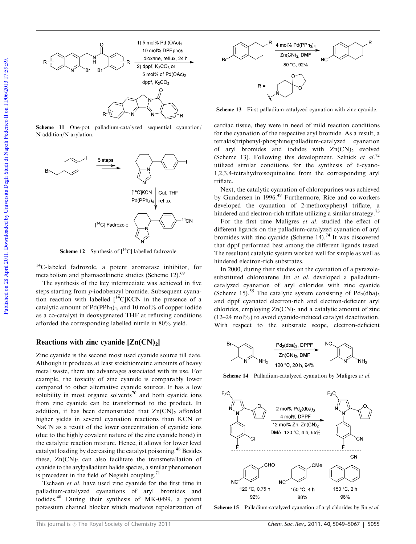

Scheme 11 One-pot palladium-catalyzed sequential cyanation/ N-addition/N-arylation.



**Scheme 12** Synthesis of  $\int_{0}^{14}C$ ] labelled fadrozole.

<sup>14</sup>C-labeled fadrozole, a potent aromatase inhibitor, for metabolism and phamacokinetic studies (Scheme 12).<sup>69</sup>

The synthesis of the key intermediate was achieved in five steps starting from p-iodobenzyl bromide. Subsequent cyanation reaction with labelled  $\int_{0}^{14}C|KCN$  in the presence of a catalytic amount of  $Pd(PPh<sub>3</sub>)<sub>4</sub>$ , and 10 mol% of copper iodide as a co-catalyst in deoxygenated THF at refluxing conditions afforded the corresponding labelled nitrile in 80% yield.

#### Reactions with zinc cyanide  $[Zn(CN)_2]$

Zinc cyanide is the second most used cyanide source till date. Although it produces at least stoichiometric amounts of heavy metal waste, there are advantages associated with its use. For example, the toxicity of zinc cyanide is comparably lower compared to other alternative cyanide sources. It has a low solubility in most organic solvents<sup>70</sup> and both cyanide ions from zinc cyanide can be transformed to the product. In addition, it has been demonstrated that  $Zn(CN)_2$  afforded higher yields in several cyanation reactions than KCN or NaCN as a result of the lower concentration of cyanide ions (due to the highly covalent nature of the zinc cyanide bond) in the catalytic reaction mixture. Hence, it allows for lower level catalyst loading by decreasing the catalyst poisoning.<sup>48</sup> Besides these,  $Zn(CN)_2$  can also facilitate the transmetallation of cyanide to the arylpalladium halide species, a similar phenomenon is precedent in the field of Negishi coupling.<sup>71</sup>

Tschaen et al. have used zinc cyanide for the first time in palladium-catalyzed cyanations of aryl bromides and iodides.<sup>48</sup> During their synthesis of MK-0499, a potent potassium channel blocker which mediates repolarization of



Scheme 13 First palladium-catalyzed cyanation with zinc cyanide.

cardiac tissue, they were in need of mild reaction conditions for the cyanation of the respective aryl bromide. As a result, a tetrakis(triphenyl-phosphine)palladium-catalyzed cyanation of aryl bromides and iodides with  $Zn(CN)_2$  evolved (Scheme 13). Following this development, Selnick et al.<sup>72</sup> utilized similar conditions for the synthesis of 6-cyano-1,2,3,4-tetrahydroisoquinoline from the corresponding aryl triflate.

Next, the catalytic cyanation of chloropurines was achieved by Gundersen in 1996.<sup>49</sup> Furthermore, Rice and co-workers developed the cyanation of 2-methoxyphenyl triflate, a hindered and electron-rich triflate utilizing a similar strategy.<sup>73</sup>

For the first time Maligres et al. studied the effect of different ligands on the palladium-catalyzed cyanation of aryl bromides with zinc cyanide (Scheme  $14$ ).<sup>74</sup> It was discovered that dppf performed best among the different ligands tested. The resultant catalytic system worked well for simple as well as hindered electron-rich substrates.

In 2000, during their studies on the cyanation of a pyrazolesubstituted chloroarene Jin et al. developed a palladiumcatalyzed cyanation of aryl chlorides with zinc cyanide (Scheme 15).<sup>55</sup> The catalytic system consisting of  $Pd_2(dba)$ <sub>3</sub> and dppf cyanated electron-rich and electron-deficient aryl chlorides, employing  $Zn(CN)$ <sub>2</sub> and a catalytic amount of zinc  $(12-24 \text{ mol})$ % to avoid cyanide-induced catalyst deactivation. With respect to the substrate scope, electron-deficient



Scheme 14 Palladium-catalyzed cyanation by Maligres et al.



Scheme 15 Palladium-catalyzed cyanation of aryl chlorides by Jin et al.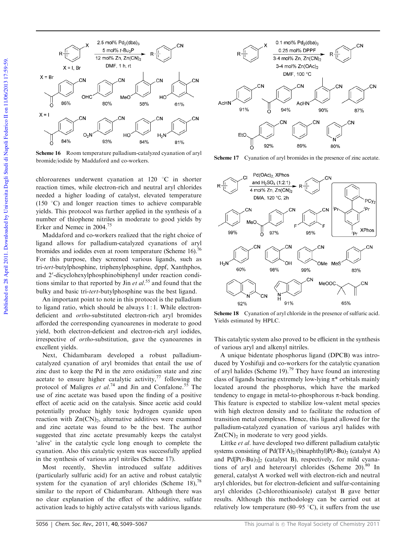

Scheme 16 Room temperature palladium-catalyzed cyanation of aryl bromide/iodide by Maddaford and co-workers.<br>Scheme 17 Cyanation of aryl bromides in the presence of zinc acetate.

chloroarenes underwent cyanation at  $120$  °C in shorter reaction times, while electron-rich and neutral aryl chlorides needed a higher loading of catalyst, elevated temperature (150 $\degree$ C) and longer reaction times to achieve comparable yields. This protocol was further applied in the synthesis of a number of thiophene nitriles in moderate to good yields by Erker and Nemec in 2004.<sup>75</sup>

Maddaford and co-workers realized that the right choice of ligand allows for palladium-catalyzed cyanations of aryl bromides and iodides even at room temperature (Scheme 16).<sup>76</sup> For this purpose, they screened various ligands, such as tri-tert-butylphosphine, triphenylphosphine, dppf, Xanthphos, and 2'-dicyclohexylphosphinobiphenyl under reaction conditions similar to that reported by Jin et  $al$ <sup>55</sup> and found that the bulky and basic tri-tert-butylphosphine was the best ligand.

An important point to note in this protocol is the palladium to ligand ratio, which should be always 1 : 1. While electrondeficient and ortho-substituted electron-rich aryl bromides afforded the corresponding cyanoarenes in moderate to good yield, both electron-deficient and electron-rich aryl iodides, irrespective of ortho-substitution, gave the cyanoarenes in excellent yields.

Next, Chidambaram developed a robust palladiumcatalyzed cyanation of aryl bromides that entail the use of zinc dust to keep the Pd in the zero oxidation state and zinc acetate to ensure higher catalytic activity, $77$  following the protocol of Maligres et al.<sup>74</sup> and Jin and Confalone.<sup>55</sup> The use of zinc acetate was based upon the finding of a positive effect of acetic acid on the catalysis. Since acetic acid could potentially produce highly toxic hydrogen cyanide upon reaction with  $\text{Zn}(\text{CN})_2$ , alternative additives were examined and zinc acetate was found to be the best. The author suggested that zinc acetate presumably keeps the catalyst 'alive' in the catalytic cycle long enough to complete the cyanation. Also this catalytic system was successfully applied in the synthesis of various aryl nitriles (Scheme 17).

Most recently, Shevlin introduced sulfate additives (particularly sulfuric acid) for an active and robust catalytic system for the cyanation of aryl chlorides (Scheme 18),  $^{78}$ similar to the report of Chidambaram. Although there was no clear explanation of the effect of the additive, sulfate activation leads to highly active catalysts with various ligands.





Scheme 18 Cyanation of aryl chloride in the presence of sulfuric acid. Yields estimated by HPLC.

This catalytic system also proved to be efficient in the synthesis of various aryl and alkenyl nitriles.

A unique bidentate phosphorus ligand (DPCB) was introduced by Yoshifuji and co-workers for the catalytic cyanation of aryl halides (Scheme 19).<sup>79</sup> They have found an interesting class of ligands bearing extremely low-lying  $\pi^*$  orbitals mainly located around the phosphorus, which have the marked tendency to engage in metal-to-phosphorous  $\pi$ -back bonding. This feature is expected to stabilize low-valent metal species with high electron density and to facilitate the reduction of transition metal complexes. Hence, this ligand allowed for the palladium-catalyzed cyanation of various aryl halides with  $Zn(CN)_2$  in moderate to very good yields.

Littke et al. have developed two different palladium catalytic systems consisting of  $Pd(TFA)_{2}/(binaphthyl)P(t-Bu)_{2}$  (catalyst A) and  $Pd[P(t-Bu)<sub>3</sub>]$ <sub>2</sub> (catalyst B), respectively, for mild cyanations of aryl and heteroaryl chlorides (Scheme 20).<sup>80</sup> In general, catalyst A worked well with electron-rich and neutral aryl chlorides, but for electron-deficient and sulfur-containing aryl chlorides (2-chlorothioanisole) catalyst B gave better results. Although this methodology can be carried out at relatively low temperature (80–95  $\degree$ C), it suffers from the use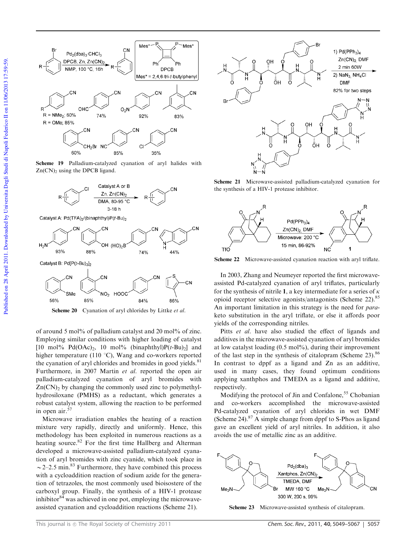

Scheme 19 Palladium-catalyzed cyanation of aryl halides with  $Zn(CN)$ <sub>2</sub> using the DPCB ligand.



Catalyst A: Pd(TFA)<sub>2</sub>/(binaphthyl)P(t-Bu)<sub>2</sub>



Catalyst B: Pd[P(t-Bu)3]2



Scheme 20 Cyanation of aryl chlorides by Littke et al.

of around 5 mol% of palladium catalyst and 20 mol% of zinc. Employing similar conditions with higher loading of catalyst [10 mol%  $Pd(OAc)_2$ , 10 mol% (binaphthyl) $P(t-Bu)_2$ ] and higher temperature (110 $\degree$ C), Wang and co-workers reported the cyanation of aryl chlorides and bromides in good yields.<sup>81</sup> Furthermore, in 2007 Martin et al. reported the open air palladium-catalyzed cyanation of aryl bromides with  $Zn(CN)_2$  by changing the commonly used zinc to polymethylhydrosiloxane (PMHS) as a reductant, which generates a robust catalyst system, allowing the reaction to be performed in open air.<sup>57</sup>

Microwave irradiation enables the heating of a reaction mixture very rapidly, directly and uniformly. Hence, this methodology has been exploited in numerous reactions as a heating source. $82$  For the first time Hallberg and Alterman developed a microwave-assisted palladium-catalyzed cyanation of aryl bromides with zinc cyanide, which took place in  $\sim$  2–2.5 min.<sup>83</sup> Furthermore, they have combined this process with a cycloaddition reaction of sodium azide for the generation of tetrazoles, the most commonly used bioisostere of the carboxyl group. Finally, the synthesis of a HIV-1 protease inhibitor $84$  was achieved in one pot, employing the microwaveassisted cyanation and cycloaddition reactions (Scheme 21).



Scheme 21 Microwave-assisted palladium-catalyzed cyanation for the synthesis of a HIV-1 protease inhibitor.



Scheme 22 Microwave-assisted cyanation reaction with aryl triflate.

In 2003, Zhang and Neumeyer reported the first microwaveassisted Pd-catalyzed cyanation of aryl triflates, particularly for the synthesis of nitrile 1, a key intermediate for a series of  $\kappa$ opioid receptor selective agonists/antagonists (Scheme 22).<sup>85</sup> An important limitation in this strategy is the need for paraketo substitution in the aryl triflate, or else it affords poor yields of the corresponding nitriles.

Pitts et al. have also studied the effect of ligands and additives in the microwave-assisted cyanation of aryl bromides at low catalyst loading  $(0.5 \text{ mol\%})$ , during their improvement of the last step in the synthesis of citalopram (Scheme 23). $86$ In contrast to dppf as a ligand and Zn as an additive, used in many cases, they found optimum conditions applying xanthphos and TMEDA as a ligand and additive, respectively.

Modifying the protocol of Jin and Confalone,<sup>55</sup> Chobanian and co-workers accomplished the microwave-assisted Pd-catalyzed cyanation of aryl chlorides in wet DMF (Scheme 24). $87$  A simple change from dppf to S-Phos as ligand gave an excellent yield of aryl nitriles. In addition, it also avoids the use of metallic zinc as an additive.



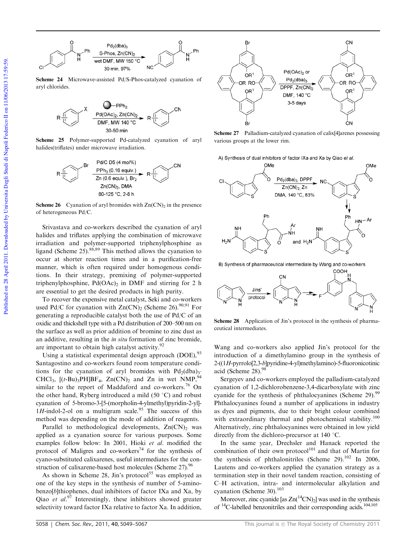

Scheme 24 Microwave-assisted Pd/S-Phos-catalyzed cyanation of aryl chlorides.



Scheme 25 Polymer-supported Pd-catalyzed cyanation of aryl halides(triflates) under microwave irradiation.



**Scheme 26** Cyanation of aryl bromides with  $Z_n(CN)$  in the presence of heterogeneous Pd/C.

Srivastava and co-workers described the cyanation of aryl halides and triflates applying the combination of microwave irradiation and polymer-supported triphenylphosphine as ligand (Scheme 25).88,89 This method allows the cyanation to occur at shorter reaction times and in a purification-free manner, which is often required under homogenous conditions. In their strategy, premixing of polymer-supported triphenylphosphine,  $Pd(OAc)$ <sub>2</sub> in DMF and stirring for 2 h are essential to get the desired products in high purity.

To recover the expensive metal catalyst, Seki and co-workers used Pd/C for cyanation with  $Zn(CN)_2$  (Scheme 26).<sup>90,91</sup> For generating a reproducible catalyst both the use of Pd/C of an oxidic and thickshell type with a Pd distribution of 200–500 nm on the surface as well as prior addition of bromine to zinc dust as an additive, resulting in the in situ formation of zinc bromide, are important to obtain high catalyst activity.<sup>92</sup>

Using a statistical experimental design approach (DOE),<sup>93</sup> Santagostino and co-workers found room temperature conditions for the cyanation of aryl bromides with  $Pd_2(dba)$ <sub>3</sub>. CHCl<sub>3</sub>,  $[(t-Bu)_3PH]BF_4$ ,  $Zn(CN)_2$  and  $Zn$  in wet NMP,<sup>94</sup> similar to the report of Maddaford and co-workers.<sup>76</sup> On the other hand, Ryberg introduced a mild  $(50 \degree C)$  and robust cyanation of 5-bromo-3-[5-(morpholin-4-ylmethyl)pyridin-2-yl]- 1H-indol-2-ol on a multigram scale.<sup>95</sup> The success of this method was depending on the mode of addition of reagents.

Parallel to methodological developments,  $Zn(CN)_2$  was applied as a cyanation source for various purposes. Some examples follow below: In 2001, Hioki et al. modified the protocol of Maligres and co-workers<sup>74</sup> for the synthesis of cyano-substituted calixarenes, useful intermediates for the construction of calixarene-based host molecules (Scheme 27).<sup>96</sup>

As shown in Scheme 28, Jin's protocol<sup>55</sup> was employed as one of the key steps in the synthesis of number of 5-aminobenzo[b]thiophenes, dual inhibitors of factor IXa and Xa, by Qiao et  $al^{97}$  Interestingly, these inhibitors showed greater selectivity toward factor IXa relative to factor Xa. In addition,



Scheme 27 Palladium-catalyzed cyanation of calix[4]arenes possessing various groups at the lower rim.

A) Synthesis of dual inhibitors of factor IXa and Xa by Qiao et al.



B) Synthesis of pharmaceutical intermediate by Wang and co-workers



Scheme 28 Application of Jin's protocol in the synthesis of pharmaceutical intermediates.

Wang and co-workers also applied Jin's protocol for the introduction of a dimethylamino group in the synthesis of 2-((1H-pyrrolo[2,3-b]pyridine-4-yl)methylamino)-5-fluoronicotinic acid (Scheme 28).<sup>9</sup>

Sergeyev and co-workers employed the palladium-catalyzed cyanation of 1,2-dichlorobenzene-3,4-dicarboxylate with zinc cyanide for the synthesis of phthalocyanines (Scheme 29).<sup>99</sup> Phthalocyanines found a number of applications in industry as dyes and pigments, due to their bright colour combined with extraordinary thermal and photochemical stability.<sup>100</sup> Alternatively, zinc phthalocyanines were obtained in low yield directly from the dichloro-precursor at 140  $^{\circ}$ C.

In the same year, Drechsler and Hanack reported the combination of their own protocol<sup>101</sup> and that of Martin for the synthesis of phthalonitriles (Scheme 29). $^{102}$  In 2006, Lautens and co-workers applied the cyanation strategy as a termination step in their novel tandem reaction, consisting of C–H activation, intra- and intermolecular alkylation and cyanation (Scheme 30).<sup>103</sup>

Moreover, zinc cyanide [as  $Zn({}^{14}CN)_2$ ] was used in the synthesis of <sup>14</sup>C-labelled benzonitriles and their corresponding acids.<sup>104,105</sup>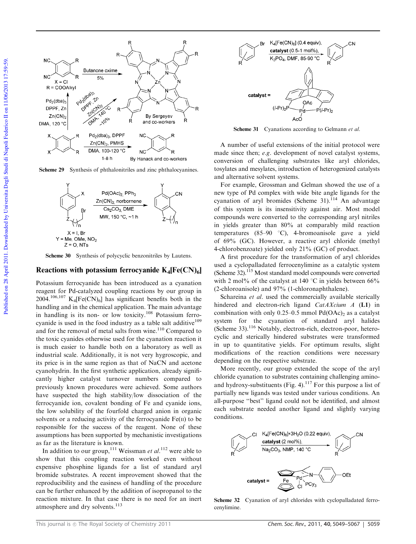

Scheme 29 Synthesis of phthalonitriles and zinc phthalocyanines.



Scheme 30 Synthesis of polycyclic benzonitriles by Lautens.

#### Reactions with potassium ferrocyanide  $K_4[Fe(CN)_6]$

Potassium ferrocyanide has been introduced as a cyanation reagent for Pd-catalyzed coupling reactions by our group in  $2004.^{106,107}$  K<sub>4</sub>[Fe(CN)<sub>6</sub>] has significant benefits both in the handling and in the chemical application. The main advantage in handling is its non- or low toxicity.<sup>108</sup> Potassium ferrocyanide is used in the food industry as a table salt additive<sup>109</sup> and for the removal of metal salts from wine.<sup>110</sup> Compared to the toxic cyanides otherwise used for the cyanation reaction it is much easier to handle both on a laboratory as well as industrial scale. Additionally, it is not very hygroscopic, and its price is in the same region as that of NaCN and acetone cyanohydrin. In the first synthetic application, already significantly higher catalyst turnover numbers compared to previously known procedures were achieved. Some authors have suspected the high stability/low dissociation of the ferrocyanide ion, covalent bonding of Fe and cyanide ions, the low solubility of the fourfold charged anion in organic solvents or a reducing activity of the ferrocyanide  $Fe(II)$  to be responsible for the success of the reagent. None of these assumptions has been supported by mechanistic investigations as far as the literature is known.

In addition to our group,<sup>111</sup> Weissman *et al.*<sup>112</sup> were able to show that this coupling reaction worked even without expensive phosphine ligands for a list of standard aryl bromide substrates. A recent improvement showed that the reproducibility and the easiness of handling of the procedure can be further enhanced by the addition of isopropanol to the reaction mixture. In that case there is no need for an inert atmosphere and dry solvents.<sup>113</sup>



Scheme 31 Cyanations according to Gelmann et al.

A number of useful extensions of the initial protocol were made since then; e.g. development of novel catalyst systems, conversion of challenging substrates like aryl chlorides, tosylates and mesylates, introduction of heterogenized catalysts and alternative solvent systems.

For example, Grossman and Gelman showed the use of a new type of Pd complex with wide bite angle ligands for the cyanation of aryl bromides (Scheme  $31$ ).<sup>114</sup> An advantage of this system is its insensitivity against air. Most model compounds were converted to the corresponding aryl nitriles in yields greater than 80% at comparably mild reaction temperatures (85–90 °C), 4-bromoanisole gave a yield of 69% (GC). However, a reactive aryl chloride (methyl 4-chlorobenzoate) yielded only 21% (GC) of product.

A first procedure for the transformation of aryl chlorides used a cyclopalladated ferrocenylimine as a catalytic system (Scheme 32).<sup>115</sup> Most standard model compounds were converted with 2 mol% of the catalyst at 140  $\degree$ C in yields between 66% (2-chloroanisole) and 97% (1-chloronaphthalene).

Schareina et al. used the commercially available sterically hindered and electron-rich ligand CatAXcium A (L1) in combination with only  $0.25-0.5$  mmol Pd(OAc)<sub>2</sub> as a catalyst system for the cyanation of standard aryl halides (Scheme 33).<sup>116</sup> Notably, electron-rich, electron-poor, heterocyclic and sterically hindered substrates were transformed in up to quantitative yields. For optimum results, slight modifications of the reaction conditions were necessary depending on the respective substrate.

More recently, our group extended the scope of the aryl chloride cyanation to substrates containing challenging aminoand hydroxy-substituents (Fig. 4).<sup>117</sup> For this purpose a list of partially new ligands was tested under various conditions. An all-purpose ''best'' ligand could not be identified, and almost each substrate needed another ligand and slightly varying conditions.



Scheme 32 Cyanation of aryl chlorides with cyclopalladated ferrocenylimine.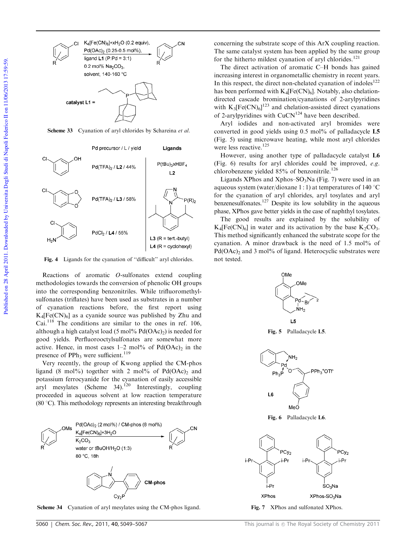

Scheme 33 Cyanation of aryl chlorides by Schareina et al.



Fig. 4 Ligands for the cyanation of "difficult" aryl chlorides.

Reactions of aromatic O-sulfonates extend coupling methodologies towards the conversion of phenolic OH groups into the corresponding benzonitriles. While trifluoromethylsulfonates (triflates) have been used as substrates in a number of cyanation reactions before, the first report using  $K_4[Fe(CN)_6]$  as a cyanide source was published by Zhu and Cai.<sup>118</sup> The conditions are similar to the ones in ref. 106, although a high catalyst load (5 mol%  $Pd(OAc)_2$ ) is needed for good yields. Perfluorooctylsulfonates are somewhat more active. Hence, in most cases  $1-2$  mol% of  $Pd(OAc)_2$  in the presence of PPh<sub>3</sub> were sufficient.<sup>119</sup>

Very recently, the group of Kwong applied the CM-phos ligand (8 mol%) together with 2 mol% of  $Pd(OAc)$  and potassium ferrocyanide for the cyanation of easily accessible aryl mesylates (Scheme  $34$ ).<sup>120</sup> Interestingly, coupling proceeded in aqueous solvent at low reaction temperature (80  $^{\circ}$ C). This methodology represents an interesting breakthrough



Scheme 34 Cyanation of aryl mesylates using the CM-phos ligand. Fig. 7 XPhos and sulfonated XPhos.

concerning the substrate scope of this ArX coupling reaction. The same catalyst system has been applied by the same group for the hitherto mildest cyanation of aryl chlorides.<sup>121</sup>

The direct activation of aromatic C–H bonds has gained increasing interest in organometallic chemistry in recent years. In this respect, the direct non-chelated cyanation of indoles $122$ has been performed with  $K_4[Fe(CN)_6]$ . Notably, also chelationdirected cascade bromination/cyanations of 2-arylpyridines with  $K_3[Fe(CN)_6]^{123}$  and chelation-assisted direct cyanations of 2-arylpyridines with  $CuCN<sup>124</sup>$  have been described.

Aryl iodides and non-activated aryl bromides were converted in good yields using 0.5 mol% of palladacycle L5 (Fig. 5) using microwave heating, while most aryl chlorides were less reactive.<sup>125</sup>

However, using another type of palladacycle catalyst L6 (Fig. 6) results for aryl chlorides could be improved, e.g. chlorobenzene yielded 85% of benzonitrile.<sup>126</sup>

Ligands XPhos and Xphos– $SO_3$ Na (Fig. 7) were used in an aqueous system (water/dioxane 1 : 1) at temperatures of 140  $^{\circ}$ C for the cyanation of aryl chlorides, aryl tosylates and aryl benzenesulfonates.<sup>127</sup> Despite its low solubility in the aqueous phase, XPhos gave better yields in the case of naphthyl tosylates.

The good results are explained by the solubility of  $K_4[Fe(CN)_6]$  in water and its activation by the base  $K_2CO_3$ . This method significantly enhanced the substrate scope for the cyanation. A minor drawback is the need of 1.5 mol% of  $Pd(OAc)$ <sub>2</sub> and 3 mol% of ligand. Heterocyclic substrates were not tested.



Fig. 5 Palladacycle L5.



Fig. 6 Palladacycle L6.

M≏O

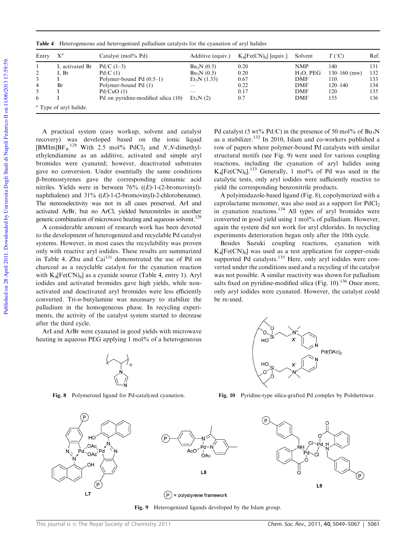| Entry                 | $X^a$                          | Catalyst (mol% Pd)                                                                                                               | Additive (equiv.)                                                 | $K_4[Fe(CN)_6]$ [equiv.]                    | Solvent                                                                           | $T$ (°C)                                                    | Ref.                                   |
|-----------------------|--------------------------------|----------------------------------------------------------------------------------------------------------------------------------|-------------------------------------------------------------------|---------------------------------------------|-----------------------------------------------------------------------------------|-------------------------------------------------------------|----------------------------------------|
| 2<br>3<br>4<br>5<br>6 | I, activated Br<br>I, Br<br>Br | $Pd/C(1-3)$<br>Pd/C(1)<br>Polymer-bound Pd $(0.5-1)$<br>Polymer-bound Pd (1)<br>Pd/CuO(1)<br>Pd on pyridine-modified silica (10) | $Bu_3N(0.5)$<br>$Bu_3N(0.5)$<br>$Et_3N(1.33)$<br>__<br>$Et_3N(2)$ | 0.20<br>0.20<br>0.67<br>0.22<br>0.17<br>0.7 | <b>NMP</b><br>$H2O$ , PEG<br><b>DMF</b><br><b>DMF</b><br><b>DMF</b><br><b>DMF</b> | 140<br>$130 - 160$ (mw)<br>110<br>$120 - 140$<br>120<br>155 | 131<br>132<br>133<br>134<br>135<br>136 |
|                       | $\alpha$ Type of aryl halide.  |                                                                                                                                  |                                                                   |                                             |                                                                                   |                                                             |                                        |

Table 4 Heterogeneous and heterogenized palladium catalysts for the cyanation of aryl halides

A practical system (easy workup, solvent and catalyst recovery) was developed based on the ionic liquid [BMIm]BF<sub>4</sub>.<sup>128</sup> With 2.5 mol% PdCl<sub>2</sub> and N,N-dimethylethylendiamine as an additive, activated and simple aryl bromides were cyanated; however, deactivated substrates gave no conversion. Under essentially the same conditions b-bromostyrenes gave the corresponding cinnamic acid nitriles. Yields were in between  $76\%$  ((E)-1-(2-bromovinyl)naphthalene) and  $31\%$  ((E)-1-(2-bromovinyl)-2-chlorobenzene). The stereoselectivity was not in all cases preserved. ArI and activated ArBr, but no ArCl, yielded benzonitriles in another generic combination of microwave heating and aqueous solvent.<sup>129</sup>

A considerable amount of research work has been devoted to the development of heterogenized and recyclable Pd catalyst systems. However, in most cases the recyclability was proven only with reactive aryl iodides. These results are summarized in Table 4. Zhu and  $\text{Cai}^{131}$  demonstrated the use of Pd on charcoal as a recyclable catalyst for the cyanation reaction with  $K_4[Fe(CN)_6]$  as a cyanide source (Table 4, entry 1). Aryl iodides and activated bromides gave high yields, while nonactivated and deactivated aryl bromides were less efficiently converted. Tri-n-butylamine was necessary to stabilize the palladium in the homogeneous phase. In recycling experiments, the activity of the catalyst system started to decrease after the third cycle.

ArI and ArBr were cyanated in good yields with microwave heating in aqueous PEG applying 1 mol% of a heterogeneous



Fig. 8 Polymerized ligand for Pd-catalyzed cyanation.

Pd catalyst (5 wt% Pd/C) in the presence of 50 mol% of Bu<sub>3</sub>N as a stabilizer.<sup>132</sup> In 2010, Islam and co-workers published a row of papers where polymer-bound Pd catalysts with similar structural motifs (see Fig. 9) were used for various coupling reactions, including the cyanation of aryl halides using  $K_4[Fe(CN)_6]$ .<sup>133</sup> Generally, 1 mol% of Pd was used in the catalytic tests, only aryl iodides were sufficiently reactive to yield the corresponding benzonitrile products.

A polyimidazole-based ligand (Fig. 8), copolymerized with a caprolactame monomer, was also used as a support for  $PdCl<sub>2</sub>$ in cyanation reactions.<sup>134</sup> All types of aryl bromides were converted in good yield using 1 mol% of palladium. However, again the system did not work for aryl chlorides. In recycling experiments deterioration began only after the 10th cycle.

Besides Suzuki coupling reactions, cyanation with  $K_4[Fe(CN)_6]$  was used as a test application for copper-oxide supported  $\overline{P}$ d catalysts.<sup>135</sup> Here, only aryl iodides were converted under the conditions used and a recycling of the catalyst was not possible. A similar reactivity was shown for palladium salts fixed on pyridine-modified silica (Fig. 10).<sup>136</sup> Once more, only aryl iodides were cyanated. However, the catalyst could be re-used.



Fig. 10 Pyridine-type silica-grafted Pd complex by Polshettiwar.



Fig. 9 Heterogenized ligands developed by the Islam group.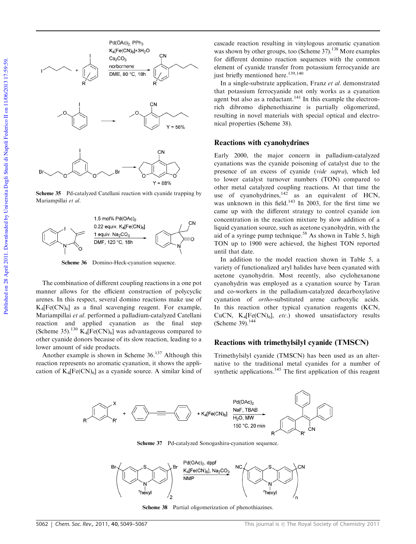

Scheme 35 Pd-catalyzed Catellani reaction with cyanide trapping by Mariampillai et al.



Scheme 36 Domino-Heck-cyanation sequence.

The combination of different coupling reactions in a one pot manner allows for the efficient construction of polycyclic arenes. In this respect, several domino reactions make use of  $K_4[Fe(CN)_6]$  as a final scavenging reagent. For example, Mariampillai et al. performed a palladium-catalyzed Catellani reaction and applied cyanation as the final step (Scheme 35).<sup>130</sup>  $K_4[Fe(CN)_6]$  was advantageous compared to other cyanide donors because of its slow reaction, leading to a lower amount of side products.

Another example is shown in Scheme 36.<sup>137</sup> Although this reaction represents no aromatic cyanation, it shows the application of  $K_4[Fe(CN)_6]$  as a cyanide source. A similar kind of

cascade reaction resulting in vinylogous aromatic cyanation was shown by other groups, too (Scheme 37).<sup>138</sup> More examples for different domino reaction sequences with the common element of cyanide transfer from potassium ferrocyanide are just briefly mentioned here.<sup>139,140</sup>

In a single-substrate application, Franz et al. demonstrated that potassium ferrocyanide not only works as a cyanation agent but also as a reductant.<sup>141</sup> In this example the electronrich dibromo diphenothiazine is partially oligomerized, resulting in novel materials with special optical and electronical properties (Scheme 38).

#### Reactions with cyanohydrines

Early 2000, the major concern in palladium-catalyzed cyanations was the cyanide poisoning of catalyst due to the presence of an excess of cyanide (vide supra), which led to lower catalyst turnover numbers (TON) compared to other metal catalyzed coupling reactions. At that time the use of cyanohydrines, $142$  as an equivalent of HCN, was unknown in this field.<sup>143</sup> In 2003, for the first time we came up with the different strategy to control cyanide ion concentration in the reaction mixture by slow addition of a liquid cyanation source, such as acetone cyanohydrin, with the aid of a syringe pump technique.<sup>58</sup> As shown in Table 5, high TON up to 1900 were achieved, the highest TON reported until that date.

In addition to the model reaction shown in Table 5, a variety of functionalized aryl halides have been cyanated with acetone cyanohydrin. Most recently, also cyclohexanone cyanohydrin was employed as a cyanation source by Taran and co-workers in the palladium-catalyzed decarboxylative cyanation of ortho-substituted arene carboxylic acids. In this reaction other typical cyanation reagents (KCN, CuCN,  $K_4[Fe(CN)_6]$ , etc.) showed unsatisfactory results (Scheme 39).<sup>144</sup>

#### Reactions with trimethylsilyl cyanide (TMSCN)

Trimethylsilyl cyanide (TMSCN) has been used as an alternative to the traditional metal cyanides for a number of synthetic applications.<sup>145</sup> The first application of this reagent



Scheme 37 Pd-catalyzed Sonogashira-cyanation sequence.



Scheme 38 Partial oligomerization of phenothiazines.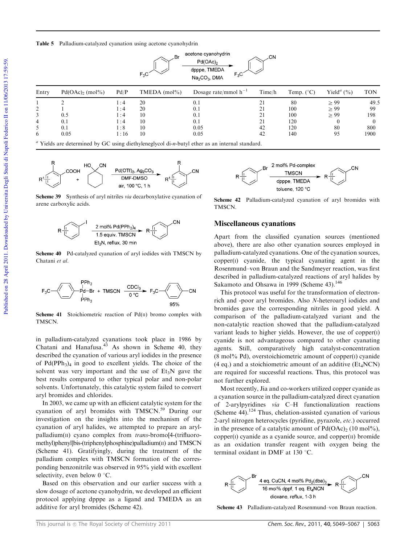



Scheme 39 Synthesis of aryl nitriles via decarboxylative cyanation of arene carboxylic acids.



Scheme 40 Pd-catalyzed cyanation of aryl iodides with TMSCN by Chatani et al.



Scheme 41 Stoichiometric reaction of  $Pd(II)$  bromo complex with **TMSCN.** 

in palladium-catalyzed cyanations took place in 1986 by Chatani and Hanafusa. <sup>43</sup> As shown in Scheme 40, they described the cyanation of various aryl iodides in the presence of  $Pd(PPh<sub>3</sub>)<sub>4</sub>$  in good to excellent yields. The choice of the solvent was very important and the use of  $Et_3N$  gave the best results compared to other typical polar and non-polar solvents. Unfortunately, this catalytic system failed to convert aryl bromides and chlorides.

In 2003, we came up with an efficient catalytic system for the cyanation of aryl bromides with TMSCN.<sup>59</sup> During our investigation on the insights into the mechanism of the cyanation of aryl halides, we attempted to prepare an arylpalladium(II) cyano complex from trans-bromo[4-(trifluoromethyl)phenyl]bis-(triphenylphosphine)palladium(II) and TMSCN (Scheme 41). Gratifyingly, during the treatment of the palladium complex with TMSCN formation of the corresponding benzonitrile was observed in 95% yield with excellent selectivity, even below  $0^{\circ}$ C.

Based on this observation and our earlier success with a slow dosage of acetone cyanohydrin, we developed an efficient protocol applying dpppe as a ligand and TMEDA as an additive for aryl bromides (Scheme 42).



Scheme 42 Palladium-catalyzed cyanation of aryl bromides with **TMSCN.** 

#### Miscellaneous cyanations

Apart from the classified cyanation sources (mentioned above), there are also other cyanation sources employed in palladium-catalyzed cyanations. One of the cyanation sources,  $copper(I)$  cyanide, the typical cyanating agent in the Rosenmund–von Braun and the Sandmeyer reaction, was first described in palladium-catalyzed reactions of aryl halides by Sakamoto and Ohsawa in 1999 (Scheme 43).<sup>146</sup>

This protocol was useful for the transformation of electronrich and -poor aryl bromides. Also N-heteroaryl iodides and bromides gave the corresponding nitriles in good yield. A comparison of the palladium-catalyzed variant and the non-catalytic reaction showed that the palladium-catalyzed variant leads to higher yields. However, the use of copper(I) cyanide is not advantageous compared to other cyanating agents. Still, comparatively high catalyst-concentration  $(8 \text{ mol\%} \text{ Pd})$ , overstoichiometric amount of copper $(I)$  cyanide (4 eq.) and a stoichiometric amount of an additive ( $Et<sub>4</sub>NCN$ ) are required for successful reactions. Thus, this protocol was not further explored.

Most recently, Jia and co-workers utilized copper cyanide as a cyanation source in the palladium-catalyzed direct cyanation of 2-arylpyridines via C–H functionalization reactions (Scheme 44).<sup>124</sup> Thus, chelation-assisted cyanation of various 2-aryl nitrogen heterocycles (pyridine, pyrazole, etc.) occurred in the presence of a catalytic amount of  $Pd(OAc)_2$  (10 mol%),  $copper(I) cyanide$  as a cyanide source, and copper $(II)$  bromide as an oxidation transfer reagent with oxygen being the terminal oxidant in DMF at 130  $^{\circ}$ C.



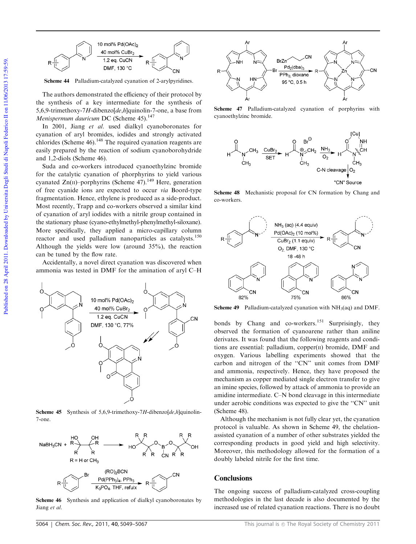

Scheme 44 Palladium-catalyzed cyanation of 2-arylpyridines.

The authors demonstrated the efficiency of their protocol by the synthesis of a key intermediate for the synthesis of 5,6,9-trimethoxy-7H-dibenzo[de,h]quinolin-7-one, a base from Menispermum dauricum DC (Scheme 45).<sup>147</sup>

In 2001, Jiang et al. used dialkyl cyanoboronates for cyanation of aryl bromides, iodides and strongly activated chlorides (Scheme  $46$ ).<sup>148</sup> The required cyanation reagents are easily prepared by the reaction of sodium cyanoborohydride and 1,2-diols (Scheme 46).

Suda and co-workers introduced cyanoethylzinc bromide for the catalytic cyanation of phorphyrins to yield various cyanated  $Zn(\text{II})$ –porphyrins (Scheme 47).<sup>149</sup> Here, generation of free cyanide ions are expected to occur via Boord-type fragmentation. Hence, ethylene is produced as a side-product. Most recently, Trapp and co-workers observed a similar kind of cyanation of aryl iodides with a nitrile group contained in the stationary phase (cyano-ethylmethyl-phenylmethyl-siloxane). More specifically, they applied a micro-capillary column reactor and used palladium nanoparticles as catalysts.<sup>150</sup> Although the yields were low (around 35%), the reaction can be tuned by the flow rate.

Accidentally, a novel direct cyanation was discovered when ammonia was tested in DMF for the amination of aryl C–H



Scheme 45 Synthesis of 5,6,9-trimethoxy-7H-dibenzo $[de, h]$ quinolin-7-one.



Scheme 46 Synthesis and application of dialkyl cyanoboronates by Jiang et al.



Scheme 47 Palladium-catalyzed cyanation of porphyrins with cyanoethylzinc bromide.



Scheme 48 Mechanistic proposal for CN formation by Chang and co-workers.



**Scheme 49** Palladium-catalyzed cyanation with  $NH<sub>3</sub>(aq)$  and DMF.

bonds by Chang and co-workers.<sup>151</sup> Surprisingly, they observed the formation of cyanoarene rather than aniline derivates. It was found that the following reagents and conditions are essential: palladium,  $copper(II)$  bromide, DMF and oxygen. Various labelling experiments showed that the carbon and nitrogen of the ''CN'' unit comes from DMF and ammonia, respectively. Hence, they have proposed the mechanism as copper mediated single electron transfer to give an imine species, followed by attack of ammonia to provide an amidine intermediate. C–N bond cleavage in this intermediate under aerobic conditions was expected to give the ''CN'' unit (Scheme 48).

Although the mechanism is not fully clear yet, the cyanation protocol is valuable. As shown in Scheme 49, the chelationassisted cyanation of a number of other substrates yielded the corresponding products in good yield and high selectivity. Moreover, this methodology allowed for the formation of a doubly labeled nitrile for the first time.

#### **Conclusions**

The ongoing success of palladium-catalyzed cross-coupling methodologies in the last decade is also documented by the increased use of related cyanation reactions. There is no doubt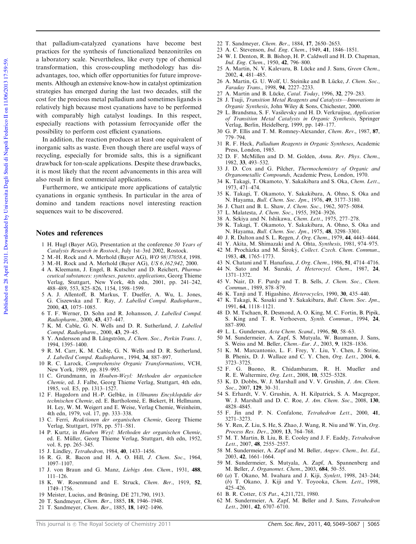that palladium-catalyzed cyanations have become best practices for the synthesis of functionalized benzonitriles on a laboratory scale. Nevertheless, like every type of chemical transformation, this cross-coupling methodology has disadvantages, too, which offer opportunities for future improvements. Although an extensive know-how in catalyst optimization strategies has emerged during the last two decades, still the cost for the precious metal palladium and sometimes ligands is relatively high because most cyanations have to be performed with comparably high catalyst loadings. In this respect, especially reactions with potassium ferrocyanide offer the possibility to perform cost efficient cyanations.

In addition, the reaction produces at least one equivalent of inorganic salts as waste. Even though there are useful ways of recycling, especially for bromide salts, this is a significant drawback for ton-scale applications. Despite these drawbacks, it is most likely that the recent advancements in this area will also result in first commercial applications.

Furthermore, we anticipate more applications of catalytic cyanations in organic synthesis. In particular in the area of domino and tandem reactions novel interesting reaction sequences wait to be discovered.

#### Notes and references

- 1 H. Hugl (Bayer AG), Presentation at the conference 50 Years of Catalysis Research in Rostock, July 1st–3rd 2002, Rostock.
- 2 M.-H. Rock and A. Merhold (Bayer AG), WO 98/37058A, 1998.
- 3 M.-H. Rock and A. Merhold (Bayer AG), US 6,162,942, 2000.
- 4 A. Kleemann, J. Engel, B. Kutscher and D. Reichert, Pharmaceutical substances: syntheses, patents, applications, Georg Thieme Verlag, Stuttgart, New York, 4th edn, 2001, pp. 241–242, 488–489, 553, 825–826, 1154, 1598–1599.
- 5 A. J. Allentoff, B. Markus, T. Duelfer, A. Wu, L. Jones, G. Ciszewska and T. Ray, J. Labelled Compd. Radiopharm., 2000, 43, 1075–1085.
- 6 T. F. Werner, D. Sohn and R. Johansson, J. Labelled Compd. Radiopharm., 2000, 43, 437–447.
- 7 K. M. Cable, G. N. Wells and D. R. Sutherland, J. Labelled Compd. Radiopharm., 2000, 43, 29–45.
- 8 Y. Andersson and B. Långström, J. Chem. Soc., Perkin Trans. 1, 1994, 1395–1400.
- 9 R. M. Carr, K. M. Cable, G. N. Wells and D. R. Sutherland, J. Labelled Compd. Radiopharm., 1994, 34, 887–897.
- 10 R. C. Larock, Comprehensive Organic Transformations, VCH, New York, 1989, pp. 819–995.
- 11 C. Grundmann, in Houben-Weyl: Methoden der organischen Chemie, ed. J. Falbe, Georg Thieme Verlag, Stuttgart, 4th edn, 1985, vol. E5, pp. 1313–1527.
- 12 F. Hagedorn and H.-P. Gelbke, in Ullmanns Encyklopädie der technischen Chemie, ed. E. Bartholomé, E. Biekert, H. Hellmann, H. Ley, W. M. Weigert and E. Weise, Verlag Chemie, Weinheim, 4th edn, 1979, vol. 17, pp. 333–338.
- 13 C. Ferri, Reaktionen der organischen Chemie, Georg Thieme Verlag, Stuttgart, 1978, pp. 571–581.
- 14 P. Kurtz, in Houben Weyl: Methoden der organischen Chemie, ed. E. Müller, Georg Thieme Verlag, Stuttgart, 4th edn, 1952, vol. 8, pp. 265–345.
- 15 J. Lindley, Tetrahedron, 1984, 40, 1433–1456.
- 16 R. G. R. Bacon and H. A. O. Hill, J. Chem. Soc., 1964, 1097–1107.
- 17 J. von Braun and G. Manz, Liebigs Ann. Chem., 1931, 488, 111–126.
- 18 K. W. Rosenmund and E. Struck, Chem. Ber., 1919, 52, 1749–1756.
- 19 Meister, Lucius, and Brüning, DE 271,790, 1913.
- 20 T. Sandmeyer, Chem. Ber., 1885, 18, 1946–1948.
- 21 T. Sandmeyer, Chem. Ber., 1885, 18, 1492–1496.
- 22 T. Sandmeyer, Chem. Ber., 1884, 17, 2650–2653.
- 23 A. C. Stevenson, Ind. Eng. Chem., 1949, 41, 1846–1851.
- 24 W. I. Denton, R. B. Bishop, H. P. Caldwell and H. D. Chapman, Ind. Eng. Chem., 1950, 42, 796–800.
- 25 A. Martin, N. V. Kalevaru, B. Lücke and J. Sans, Green Chem., 2002, 4, 481–485.
- 26 A. Martin, G. U. Wolf, U. Steinike and B. Lücke, J. Chem. Soc., Faraday Trans., 1998, 94, 2227–2233.
- 27 A. Martin and B. Lücke, Catal. Today, 1996, 32, 279-283.
- 28 J. Tsuji, Transition Metal Reagents and Catalysts—Innovations in Organic Synthesis, John Wiley & Sons, Chichester, 2000.
- 29 L. Brandsma, S. F. Vasilevsky and H. D. Verkruijsse, Application of Transition Metal Catalysts in Organic Synthesis, Springer Verlag, Berlin, Heidelberg, 1999, pp. 149–177.
- 30 G. P. Ellis and T. M. Romney-Alexander, Chem. Rev., 1987, 87, 779–794.
- 31 R. F. Heck, Palladium Reagents in Organic Syntheses, Academic Press, London, 1985.
- 32 D. F. McMillen and D. M. Golden, Annu. Rev. Phys. Chem., 1982, 33, 493–532.
- 33 J. D. Cox and G. Pilcher, Thermochemistry of Organic and Organometallic Compounds, Academic Press, London, 1970.
- 34 K. Takagi, T. Okamoto, Y. Sakakibara and S. Oka, Chem. Lett., 1973, 471–474.
- 35 K. Takagi, T. Okamoto, Y. Sakakibara, A. Ohno, S. Oka and N. Hayama, *Bull. Chem. Soc. Jpn.*, 1976, 49, 3177-3180.
- 36 J. Chatt and B. L. Shaw, J. Chem. Soc., 1962, 5075–5084.
- 37 L. Malatesta, J. Chem. Soc., 1955, 3924–3926.
- 38 A. Sekiya and N. Ishikawa, Chem. Lett., 1975, 277–278.
- 39 K. Takagi, T. Okamoto, Y. Sakakibara, A. Ohno, S. Oka and N. Hayama, *Bull. Chem. Soc. Jpn.*, 1975, 48, 3298-3301.
- 40 J. R. Dalton and S. L. Regen, J. Org. Chem., 1979, 44, 4443–4444.
- 41 Y. Akita, M. Shimazaki and A. Ohta, Synthesis, 1981, 974–975.
- 42 M. Procházka and M. Široký, Collect. Czech. Chem. Commun., 1983, 48, 1765–1773.
- 43 N. Chatani and T. Hanafusa, J. Org. Chem., 1986, 51, 4714–4716.
- 44 N. Sato and M. Suzuki, J. Heterocycl. Chem., 1987, 24, 1371–1372.
- 45 V. Nair, D. F. Purdy and T. B. Sells, J. Chem. Soc., Chem. Commun., 1989, 878–879.
- 46 K. Tanji and T. Higashino, *Heterocycles*, 1990, 30, 435-440.
- 47 K. Takagi, K. Sasaki and Y. Sakakibara, *Bull. Chem. Soc. Jpn.*, 1991, 64, 1118–1121.
- 48 D. M. Tschaen, R. Desmond, A. O. King, M. C. Fortin, B. Pipik, S. King and T. R. Verhoeven, Synth. Commun., 1994, 24, 887–890.
- 49 L. L. Gundersen, Acta Chem. Scand., 1996, 50, 58–63.
- 50 M. Sundermeier, A. Zapf, S. Mutyala, W. Baumann, J. Sans, S. Weiss and M. Beller, Chem.–Eur. J., 2003, 9, 1828–1836.
- 51 K. M. Marcantonio, L. F. Frey, Y. Liu, Y. Chen, J. Strine, B. Phenix, D. J. Wallace and C. Y. Chen, Org. Lett., 2004, 6, 3723–3725.
- 52 F. G. Buono, R. Chidambaram, R. H. Mueller and R. E. Waltermire, Org. Lett., 2008, 10, 5325–5328.
- 53 K. D. Dobbs, W. J. Marshall and V. V. Grushin, J. Am. Chem. Soc., 2007, 129, 30-31.
- 54 S. Erhardt, V. V. Grushin, A. H. Kilpatrick, S. A. Macgregor, W. J. Marshall and D. C. Roe, J. Am. Chem. Soc., 2008, 130, 4828–4845.
- 55 F. Jin and P. N. Confalone, Tetrahedron Lett., 2000, 41, 3271–3273.
- 56 Y. Ren, Z. Liu, S. He, S. Zhao, J. Wang, R. Niu and W. Yin, Org. Process Res. Dev., 2009, 13, 764–768.
- 57 M. T. Martin, B. Liu, B. E. Cooley and J. F. Eaddy, Tetrahedron Lett., 2007, 48, 2555-2557.
- 58 M. Sundermeier, A. Zapf and M. Beller, Angew. Chem., Int. Ed., 2003, 42, 1661–1664.
- 59 M. Sundermeier, S. Mutyala, A. Zapf, A. Spannenberg and M. Beller, J. Organomet. Chem., 2003, 684, 50–55.
- 60 (a) T. Okano, M. Iwahara and J. Kiji, Synlett, 1998, 243–244; (b) T. Okano, J. Kiji and Y. Toyooka, Chem. Lett., 1998, 425–426.
- 61 B. R. Cotter, US Pat., 4,211,721, 1980.
- 62 M. Sundermeier, A. Zapf, M. Beller and J. Sans, Tetrahedron Lett., 2001, **42**, 6707-6710.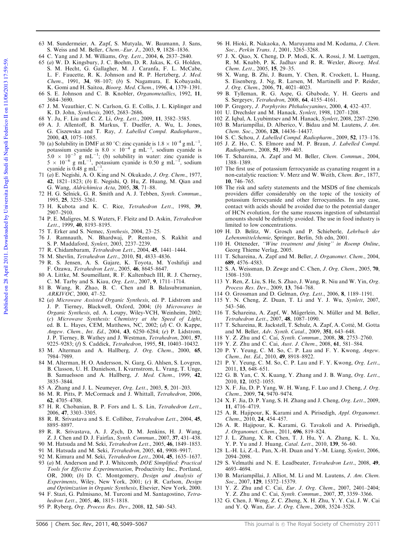- 63 M. Sundermeier, A. Zapf, S. Mutyala, W. Baumann, J. Sans, S. Weiss and M. Beller, Chem.–Eur. J., 2003, 9, 1828–1836.
- 64 C. Yang and J. M. Williams, Org. Lett., 2004, 6, 2837–2840.
- 65 (a) W. D. Kingsbury, J. C. Boehm, D. R. Jakas, K. G. Holden, S. M. Hecht, G. Gallagher, M. J. Caranfa, F. L. McCabe, L. F. Faucette, R. K. Johnson and R. P. Hertzberg, J. Med. Chem., 1991, 34, 98–107; (b) S. Nagamura, E. Kobayashi, K. Gomi and H. Saitoa, Bioorg. Med. Chem., 1996, 4, 1379–1391. 66 S. E. Johnson and C. B. Knobler, Organometallics, 1992, 11,
- 3684–3690.
- 67 J. M. Veauthier, C. N. Carlson, G. E. Collis, J. L. Kiplinger and K. D. John, Synthesis, 2005, 2683–2686.
- 68 Y. Ju, F. Liu and C. Z. Li, Org. Lett., 2009, 11, 3582–3585.
- 69 A. J. Allentoff, B. Markus, T. Duelfer, A. Wu, L. Jones, G. Ciszewska and T. Ray, J. Labelled Compd. Radiopharm., 2000, 43, 1075–1085.
- 70 (a) Solubility in DMF at 80 °C: zinc cyanide is  $1.8 \times 10^{-4}$  g mL<sup>-1</sup>, potassium cyanide is  $8.0 \times 10^{-4}$  g mL<sup>-1</sup>, sodium cyanide is  $5.0 \times 10^{-3}$  g mL<sup>-1</sup>; (b) solubility in water: zinc cyanide is  $5 \times 10^{-6}$  g mL<sup>-1</sup>, potassium cyanide is 0.50 g mL<sup>-1</sup>, sodium cyanide is  $0.48 \text{ g m}$ L<sup>-1</sup>.
- 71 (a) E. Negishi, A. O. King and N. Okukado, J. Org. Chem., 1977, 42, 1821–1823; (b) E. Negishi, Q. Hu, Z. Huang, M. Qian and G. Wang, Aldrichimica Acta, 2005, 38, 71–88.
- 72 H. G. Selnick, G. R. Smith and A. J. Tebben, Synth. Commun., 1995, 25, 3255–3261.
- 73 H. Kubota and K. C. Rice, Tetrahedron Lett., 1998, 39, 2907–2910.
- 74 P. E. Maligres, M. S. Waters, F. Fleitz and D. Askin, Tetrahedron Lett., 1999, 40, 8193-8195.
- 75 T. Erker and S. Nemec, Synthesis, 2004, 23–25.
- 76 J. Ramnauth, N. Bhardwaj, P. Renton, S. Rakhit and S. P. Maddaford, Synlett, 2003, 2237–2239.
- 77 R. Chidambaram, Tetrahedron Lett., 2004, 45, 1441–1444.
- 78 M. Shevlin, Tetrahedron Lett., 2010, 51, 4833–4836.
- 79 R. S. Jensen, A. S. Gajare, K. Toyota, M. Yoshifuji and F. Ozawa, Tetrahedron Lett., 2005, 46, 8645–8647.
- 80 A. Littke, M. Soumeillant, R. F. Kaltenbach III, R. J. Cherney, C. M. Tarby and S. Kiau, Org. Lett., 2007, 9, 1711–1714.
- 81 B. Wang, R. Zhao, B. C. Chen and B. Balasubramanian, ARKIVOC, 2000, 47–52.
- 82 (a) Microwave Assisted Organic Synthesis, ed. P. Lidstrom and J. P. Tierney, Blackwell, Oxford, 2004; (b) Microwaves in Organic Synthesis, ed. A. Loupy, Wiley-VCH, Weinheim, 2002; (c) Microwave Synthesis: Chemistry at the Speed of Light, ed. B. L. Hayes, CEM, Matthews, NC, 2002;  $(d)$  C. O. Kappe, Angew. Chem., Int. Ed., 2004, 43, 6250–6284; (e) P. Lidstrom, J. P. Tierney, B. Wathey and J. Westman, Tetrahedron, 2001, 57, 9225-9283; (f) S. Caddick, Tetrahedron, 1995, 51, 10403-10432.
- 83 M. Alterman and A. Hallberg, J. Org. Chem., 2000, 65, 7984–7989.
- 84 M. Alterman, H. O. Andersson, N. Garg, G. Ahlsen, S. Lovgren, B. Classon, U. H. Danielson, I. Kvarnstrom, L. Vrang, T. Unge, B. Samuelsson and A. Hallberg, J. Med. Chem., 1999, 42, 3835–3844.
- 85 A. Zhang and J. L. Neumeyer, Org. Lett., 2003, 5, 201–203.
- 86 M. R. Pitts, P. McCormack and J. Whittall, Tetrahedron, 2006,
- 62, 4705–4708. 87 H. R. Chobanian, B. P. Fors and L. S. Lin, Tetrahedron Lett.,
- 2006, 47, 3303–3305. 88 R. R. Srivastava and S. E. Collibee, Tetrahedron Lett., 2004, 45, 8895–8897.
- 89 R. R. Srivastava, A. J. Zych, D. M. Jenkins, H. J. Wang, Z. J. Chen and D. J. Fairfax, Synth. Commun., 2007, 37, 431–438.
- 90 M. Hatsuda and M. Seki, Tetrahedron Lett., 2005, 46, 1849-1853.
- 91 M. Hatsuda and M. Seki, Tetrahedron, 2005, 61, 9908–9917.
- 92 M. Kimura and M. Seki, Tetrahedron Lett., 2004, 45, 1635–1637. 93 (a) M. Anderson and P. J. Whitcomb, DOE Simplified: Practical
- Tools for Effective Experimentation, Productivity Inc., Portland, OR, 2000; (b) D. C. Montgomery, Design and Analysis of Experiments, Wiley, New York, 2001; (c) R. Carlson, Design and Optimization in Organic Synthesis, Elsevier, New York, 2000.
- 94 F. Stazi, G. Palmisano, M. Turconi and M. Santagostino, Tetrahedron Lett., 2005, 46, 1815–1818.
- 95 P. Ryberg, Org. Process Res. Dev., 2008, 12, 540–543.
- 96 H. Hioki, R. Nakaoka, A. Maruyama and M. Kodama, J. Chem. Soc., Perkin Trans. 1, 2001, 3265–3268.
- J. X. Qiao, X. Cheng, D. P. Modi, K. A. Rossi, J. M. Luettgen, R. M. Knabb, P. K. Jadhav and R. R. Wexler, Bioorg. Med. Chem. Lett., 2005, 15, 29–35.
- 98 X. Wang, B. Zhi, J. Baum, Y. Chen, R. Crockett, L. Huang, S. Eisenberg, J. Ng, R. Larsen, M. Martinelli and P. Reider, J. Org. Chem., 2006, 71, 4021–4023.
- 99 B. Tylleman, R. G. Aspe, G. Gbabode, Y. H. Geerts and S. Sergeyev, Tetrahedron, 2008, 64, 4155–4161.
- 100 P. Gregory, J. Porphyrins Phthalocyanines, 2000, 4, 432–437.
- 101 U. Drechsler and M. Hanack, Synlett, 1998, 1207–1208.
- 102 Z. Iqbal, A. Lyubimtsev and M. Hanack, Synlett, 2008, 2287–2290. 103 B. Mariampillai, D. Alberico, V. Bidau and M. Lautens, J. Am.
- Chem. Soc., 2006, 128, 14436–14437. 104 S. C. Schou, J. Labelled Compd. Radiopharm., 2009, 52, 173–176.
- 105 J. Z. Ho, C. S. Elmore and M. P. Braun, J. Labelled Compd. Radiopharm., 2008, 51, 399–403.
- 106 T. Schareina, A. Zapf and M. Beller, Chem. Commun., 2004, 1388–1389.
- 107 The first use of potassium ferrocyanide as cyanating reagent in a non-catalytic reaction: V. Merz and W. Weith, Chem. Ber., 1877, 10, 746–765.
- 108 The risk and safety statements and the MSDS of fine chemicals providers differ considerably on the topic of the toxicity of potassium ferrocyanide and other ferrocyanides. In any case, contact with acids should be avoided due to the potential danger of HCN evolution, for the same reasons ingestion of substantial amounts should be definitely avoided. The use in food industry is limited to low concentrations.
- 109 H. D. Belitz, W. Grosch and P. Schieberle, Lehrbuch der Lebensmittelchemie, Springer, Berlin, 5th edn, 2001.
- 110 H. Otteneder, ''Wine treatment and fining'' in Roemp Online, Georg Thieme Verlag, 2005.
- 111 T. Schareina, A. Zapf and M. Beller, J. Organomet. Chem., 2004, 689, 4576–4583.
- 112 S. A. Weissman, D. Zewge and C. Chen, J. Org. Chem., 2005, 70, 1508–1510.
- 113 Y. Ren, Z. Liu, S. He, S. Zhao, J. Wang, R. Niu and W. Yin, Org. Process Res. Dev., 2009, 13, 764–768.
- 114 O. Grossman and D. Gelman, Org. Lett., 2006, 8, 1189–1191.
- 115 Y. N. Cheng, Z. Duan, T. Li and Y. J. Wu, Synlett, 2007,
- 543–546. 116 T. Schareina, A. Zapf, W. Mägerlein, N. Müller and M. Beller, Tetrahedron Lett., 2007, 48, 1087–1090.
- 117 T. Schareina, R. Jackstell, T. Schulz, A. Zapf, A. Cotté, M. Gotta and M. Beller, Adv. Synth. Catal., 2009, 351, 643–648.
- 118 Y. Z. Zhu and C. Cai, Synth. Commun., 2008, 38, 2753–2760.
- 119 Y. Z. Zhu and C. Cai, Aust. J. Chem., 2008, 61, 581–584.
- 120 P. Y. Yeung, C. M. So, C. P. Lau and F. Y. Kwong, Angew. Chem., Int. Ed., 2010, 49, 8918–8922.
- 121 P. Y. Yeung, C. M. So, C. P. Lau and F. Y. Kwong, Org. Lett., 2011, 13, 648–651.
- 122 G. B. Yan, C. X. Kuang, Y. Zhang and J. B. Wang, Org. Lett., 2010, 12, 1052–1055.
- 123 X. F. Jia, D. P. Yang, W. H. Wang, F. Luo and J. Cheng, J. Org. Chem., 2009, 74, 9470–9474.
- 124 X. F. Jia, D. P. Yang, S. H. Zhang and J. Cheng, Org. Lett., 2009, 11, 4716–4719.
- 125 A. R. Hajipour, K. Karami and A. Pirisedigh, Appl. Organomet. Chem., 2010, 24, 454–457.
- 126 A. R. Hajipour, K. Karami, G. Tavakoli and A. Pirisedigh, J. Organomet. Chem., 2011, 696, 819–824.
- 127 J. L. Zhang, X. R. Chen, T. J. Hu, Y. A. Zhang, K. L. Xu, Y. P. Yu and J. Huang, Catal. Lett., 2010, 139, 56-60.
- 128 L.-H. Li, Z.-L. Pan, X.-H. Duan and Y.-M. Liang, Synlett, 2006, 2094–2098.
- 129 S. Velmathi and N. E. Leadbeater, Tetrahedron Lett., 2008, 49, 4693–4694.
- 130 B. Mariampillai, J. Alliot, M. Li and M. Lautens, J. Am. Chem. Soc., 2007, 129, 15372-15379.
- 131 Y. Z. Zhu and C. Cai, Eur. J. Org. Chem., 2007, 2401–2404; Y. Z. Zhu and C. Cai, Synth. Commun., 2007, 37, 3359-3366.
- 132 G. Chen, J. Weng, Z. C. Zheng, X. H. Zhu, Y. Y. Cai, J. W. Cai and Y. Q. Wan, Eur. J. Org. Chem., 2008, 3524–3528.